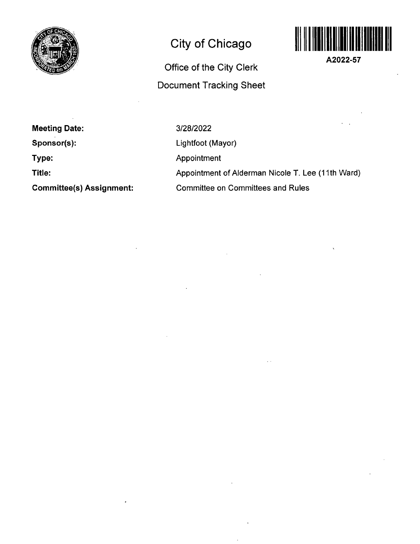

# **City of Chicago**



**A2022-57** 

# **Office of the City Clerk Document Tracking Sheet**

**Meeting Date:** 

**Sponsor(s):** 

**Type:** 

**Title:** 

**Committee(s) Assignment:** 

3/28/2022

Lightfoot (Mayor)

Appointment

Appointment of Alderman Nicole T. Lee (11th Ward)

Committee on Committees and Rules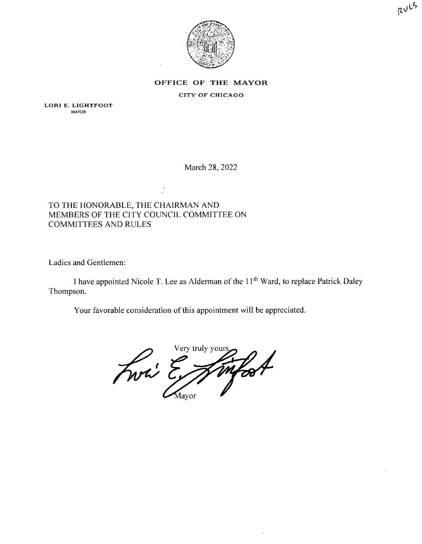



#### OFFICE OF THE MAYOR

#### CITY OF CHICAGO

LORI E. LIGHTFOOT MAYOR

March 28, 2022

## TO THE HONORABLE, THE CHAIRMAN AND MEMBERS OF THE CITY COUNCIL COMMITTEE ON COMMITTEES AND RULES

Ladies and Gentlemen:

I have appointed Nicole T. Lee as Alderman of the  $11<sup>th</sup>$  Ward, to replace Patrick Daley Thompson.

Your favorable consideration of this appointment will be appreciated.

Very truly your infort Mayor